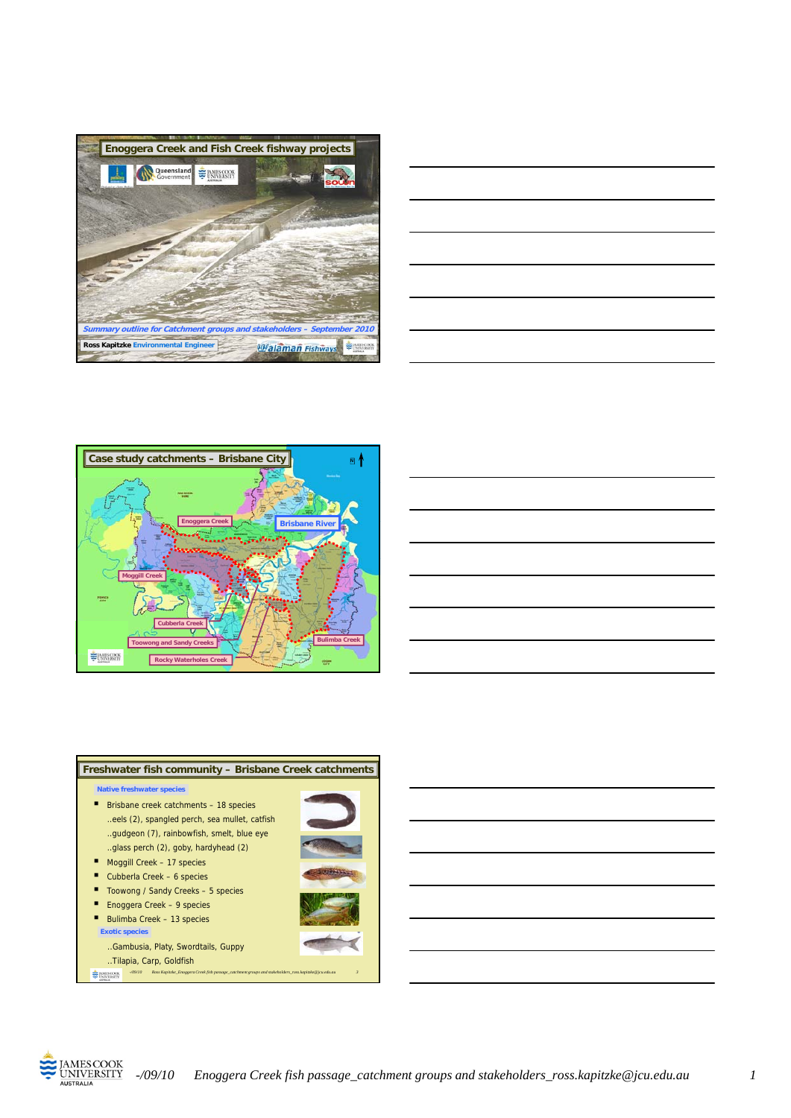







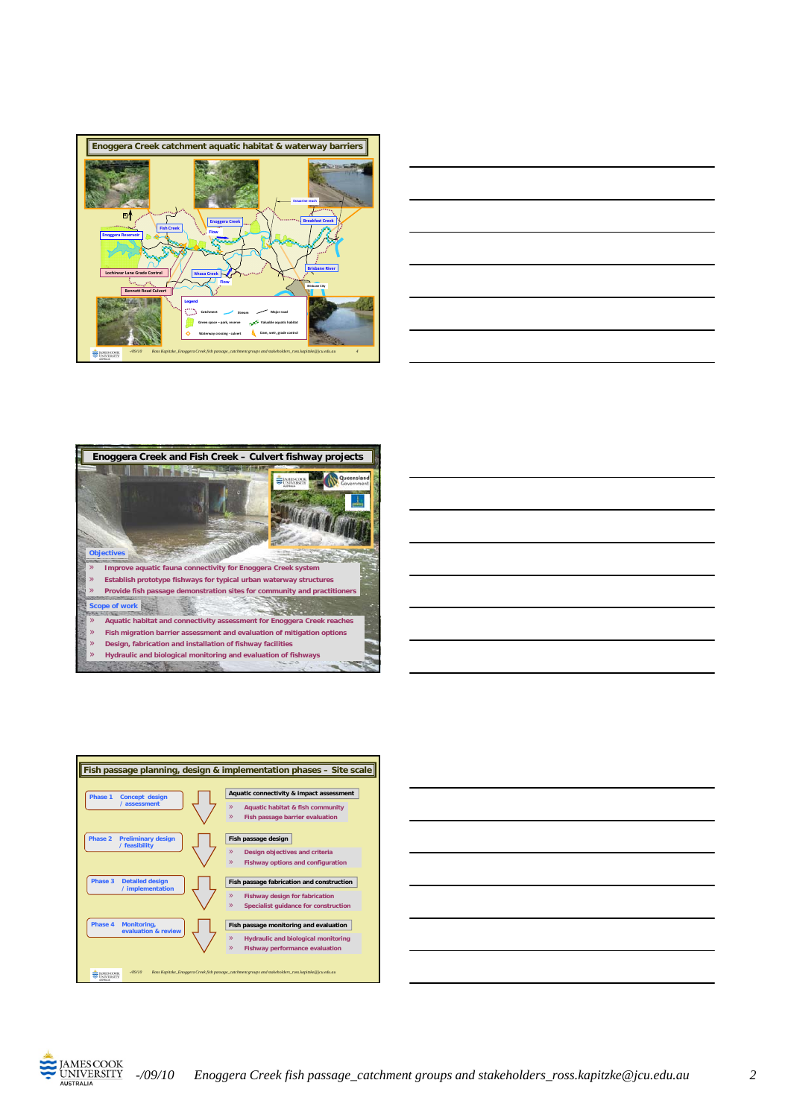











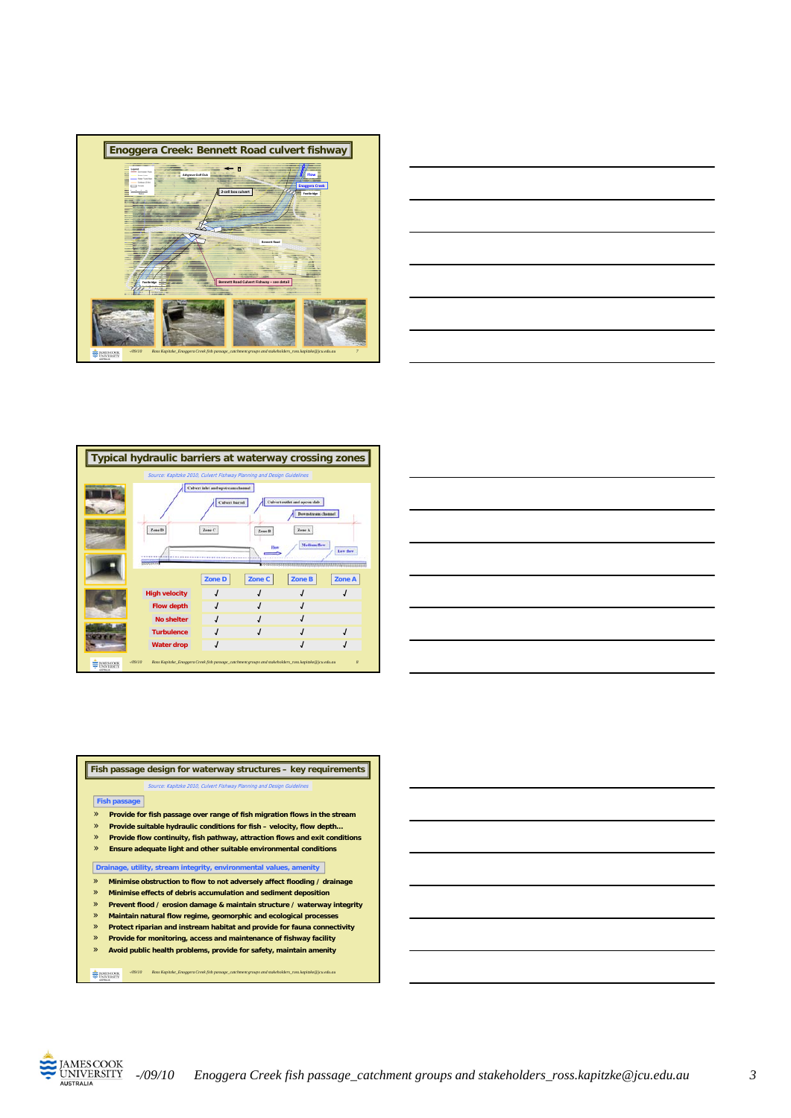







**Fish passage design for waterway structures – key requirements** » **Provide for fish passage over range of fish migration flows in the stream** » **Provide suitable hydraulic conditions for fish – velocity, flow depth… Fish passage Source: Kapitzke 2010, Culvert Fishway Planning and Design Guideli**nes

- » **Provide flow continuity, fish pathway, attraction flows and exit conditions**
- » **Ensure adequate light and other suitable environmental conditions**

**Drainage, utility, stream integrity, environmental values, amenity Drainage, utility, stream integrity, environmental values,**

- » **Minimise obstruction to flow to not adversely affect flooding / drainage**
- » **Minimise effects of debris accumulation and sediment deposition**
- » **Prevent flood / erosion damage & maintain structure / waterway integrity**
- » **Maintain natural flow regime, geomorphic and ecological processes**
- » **Protect riparian and instream habitat and provide for fauna connectivity** » **Provide for monitoring, access and maintenance of fishway facility**
- » **Avoid public health problems, provide for safety, maintain amenity**

*-/09/10 Ross Kapitzke\_Enoggera Creek fish passage\_catchment groups and stakeholders\_ross.kapitzke@jcu.edu.au*



**E MISCOOK**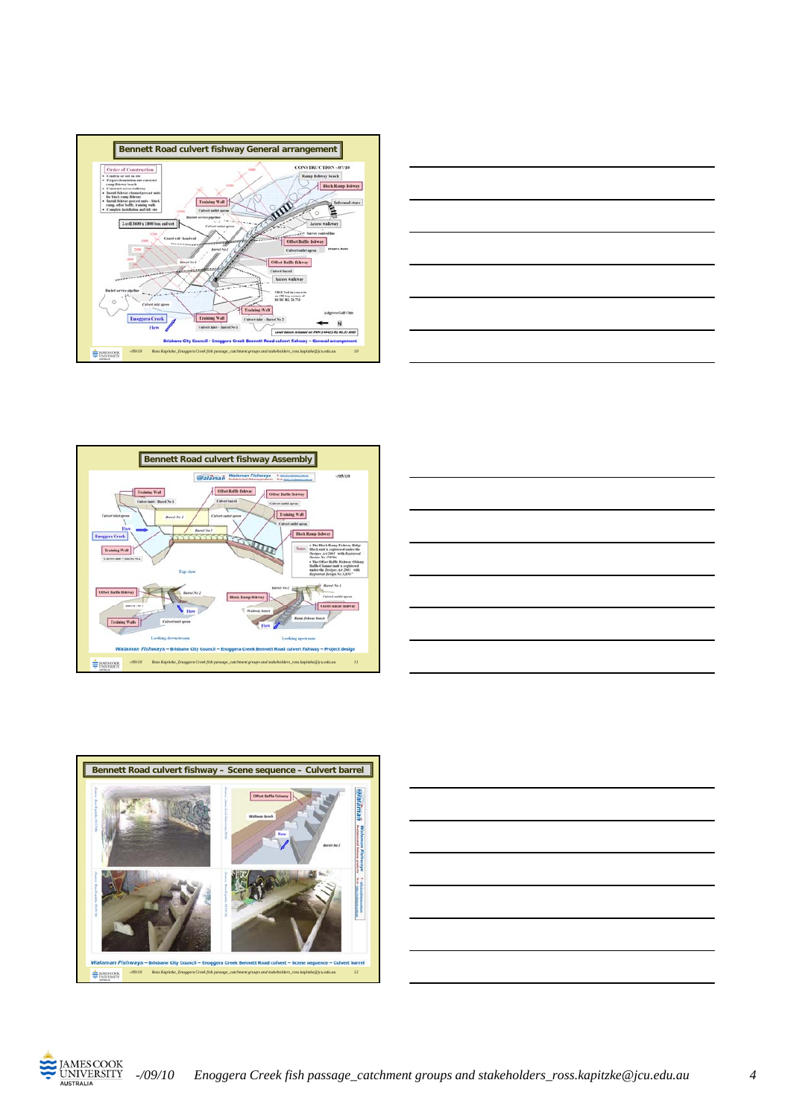











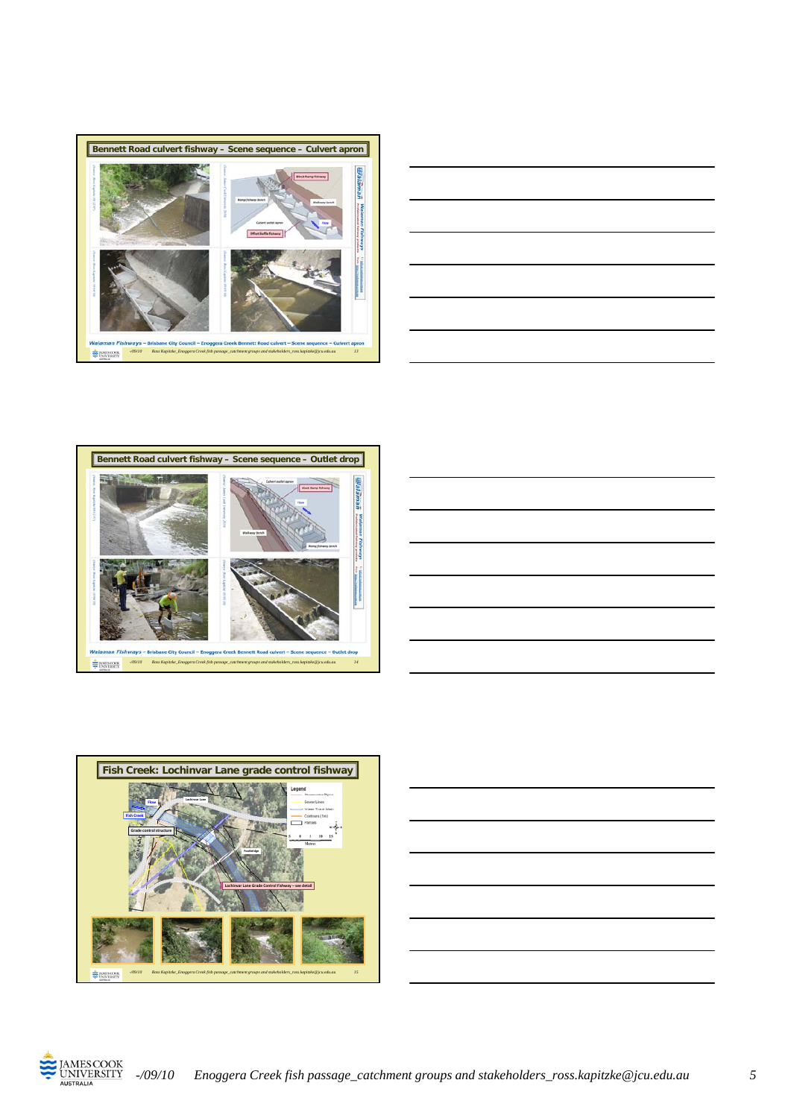











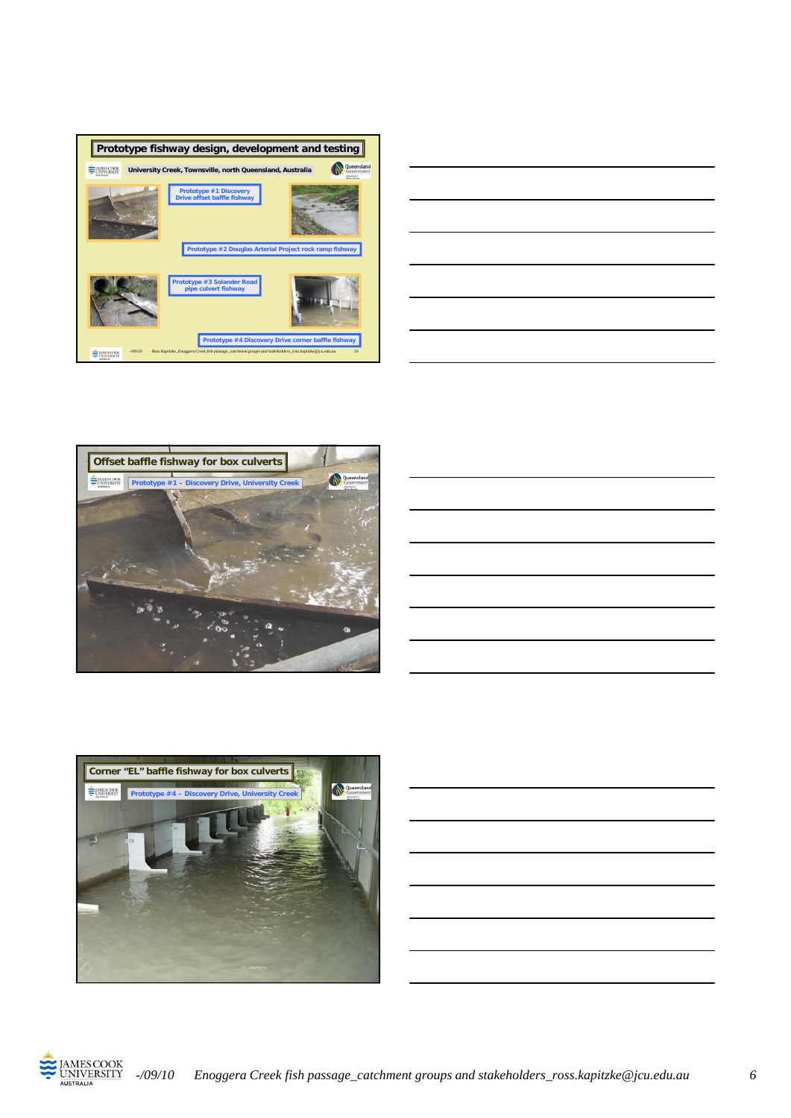











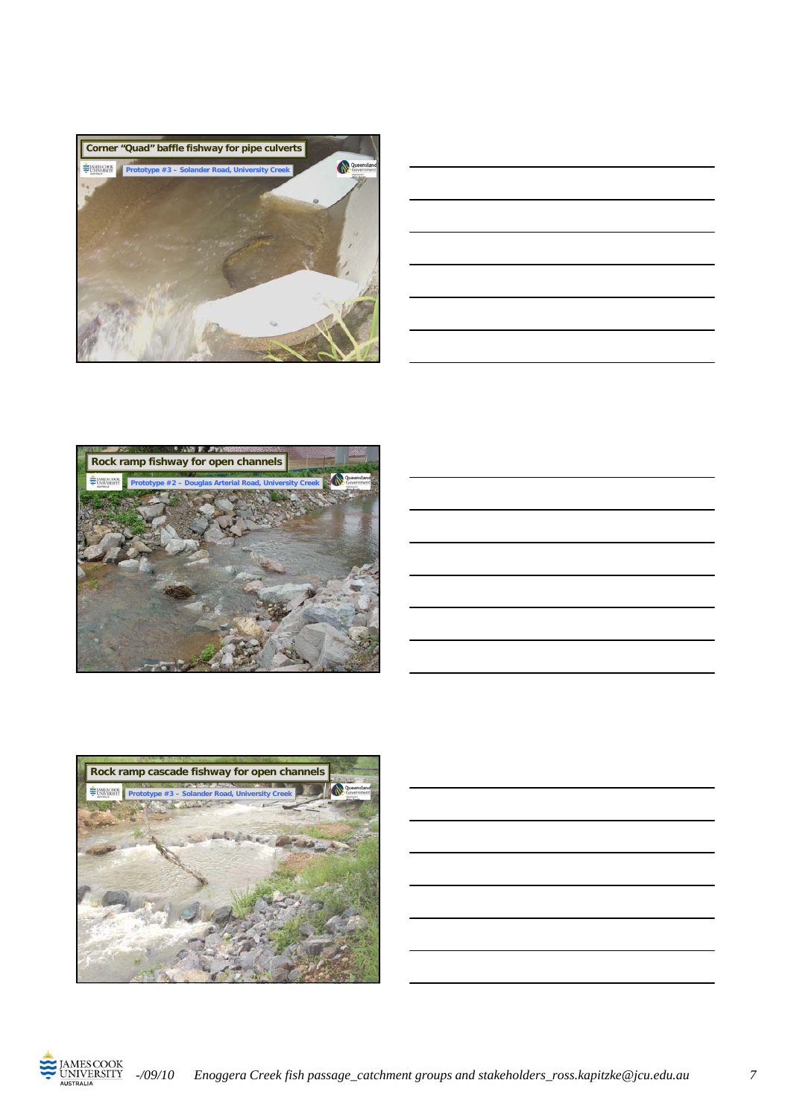